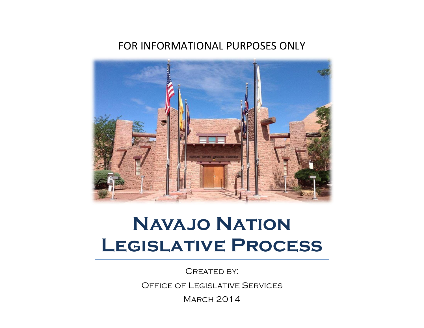## FOR INFORMATIONAL PURPOSES ONLY



# **Navajo Nation Legislative Process**

CREATED BY:

Office of Legislative Services

**MARCH 2014**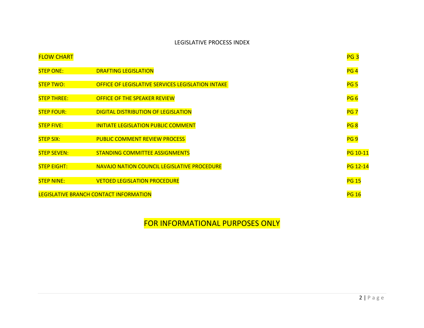#### LEGISLATIVE PROCESS INDEX

| <b>FLOW CHART</b>  |                                                   |
|--------------------|---------------------------------------------------|
| <b>STEP ONE:</b>   | <b>DRAFTING LEGISLATION</b>                       |
| <b>STEP TWO:</b>   | OFFICE OF LEGISLATIVE SERVICES LEGISLATION INTAKE |
| <b>STEP THREE:</b> | OFFICE OF THE SPEAKER REVIEW                      |
| <b>STEP FOUR:</b>  | <b>DIGITAL DISTRIBUTION OF LEGISLATION</b>        |
| <b>STEP FIVE:</b>  | <b>INITIATE LEGISLATION PUBLIC COMMENT</b>        |
| <b>STEP SIX:</b>   | <b>PUBLIC COMMENT REVIEW PROCESS</b>              |
| <b>STEP SEVEN:</b> | <b>STANDING COMMITTEE ASSIGNMENTS</b>             |
| <b>STEP EIGHT:</b> | NAVAJO NATION COUNCIL LEGISLATIVE PROCEDURE       |
| <b>STEP NINE:</b>  | <b>VETOED LEGISLATION PROCEDURE</b>               |
|                    | LEGISLATIVE BRANCH CONTACT INFORMATION            |

FOR INFORMATIONAL PURPOSES ONLY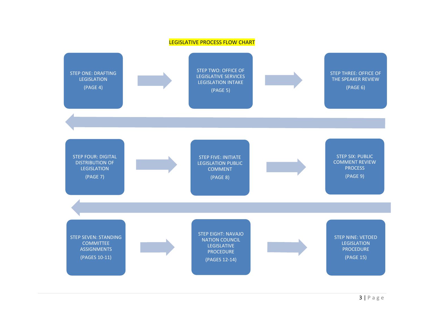#### LEGISLATIVE PROCESS FLOW CHART

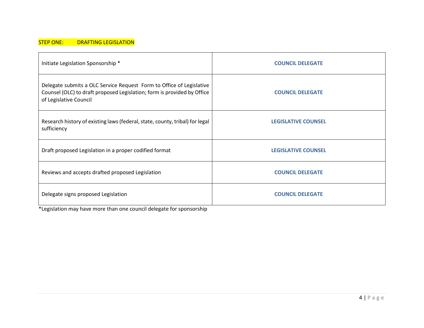#### STEP ONE: DRAFTING LEGISLATION

| Initiate Legislation Sponsorship *                                                                                                                                        | <b>COUNCIL DELEGATE</b>    |
|---------------------------------------------------------------------------------------------------------------------------------------------------------------------------|----------------------------|
| Delegate submits a OLC Service Request Form to Office of Legislative<br>Counsel (OLC) to draft proposed Legislation; form is provided by Office<br>of Legislative Council | <b>COUNCIL DELEGATE</b>    |
| Research history of existing laws (federal, state, county, tribal) for legal<br>sufficiency                                                                               | <b>LEGISLATIVE COUNSEL</b> |
| Draft proposed Legislation in a proper codified format                                                                                                                    | <b>LEGISLATIVE COUNSEL</b> |
| Reviews and accepts drafted proposed Legislation                                                                                                                          | <b>COUNCIL DELEGATE</b>    |
| Delegate signs proposed Legislation                                                                                                                                       | <b>COUNCIL DELEGATE</b>    |

\*Legislation may have more than one council delegate for sponsorship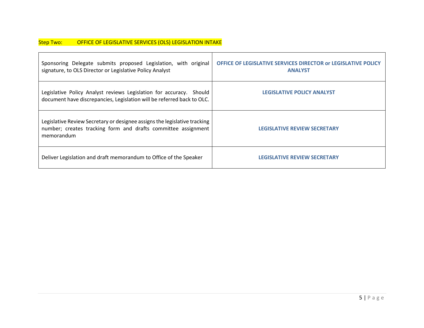| Sponsoring Delegate submits proposed Legislation, with original<br>signature, to OLS Director or Legislative Policy Analyst                              | <b>OFFICE OF LEGISLATIVE SERVICES DIRECTOR OF LEGISLATIVE POLICY</b><br><b>ANALYST</b> |
|----------------------------------------------------------------------------------------------------------------------------------------------------------|----------------------------------------------------------------------------------------|
| Legislative Policy Analyst reviews Legislation for accuracy. Should<br>document have discrepancies, Legislation will be referred back to OLC.            | <b>LEGISLATIVE POLICY ANALYST</b>                                                      |
| Legislative Review Secretary or designee assigns the legislative tracking<br>number; creates tracking form and drafts committee assignment<br>memorandum | <b>LEGISLATIVE REVIEW SECRETARY</b>                                                    |
| Deliver Legislation and draft memorandum to Office of the Speaker                                                                                        | <b>LEGISLATIVE REVIEW SECRETARY</b>                                                    |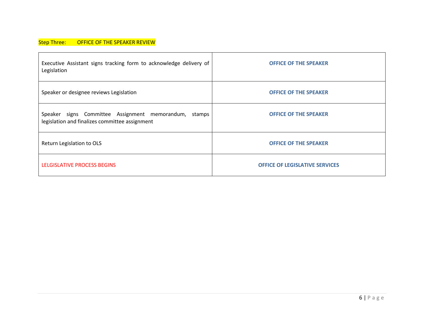#### Step Three: OFFICE OF THE SPEAKER REVIEW

| Executive Assistant signs tracking form to acknowledge delivery of<br>Legislation                       | <b>OFFICE OF THE SPEAKER</b>          |
|---------------------------------------------------------------------------------------------------------|---------------------------------------|
| Speaker or designee reviews Legislation                                                                 | <b>OFFICE OF THE SPEAKER</b>          |
| Speaker signs Committee Assignment memorandum, stamps<br>legislation and finalizes committee assignment | <b>OFFICE OF THE SPEAKER</b>          |
| Return Legislation to OLS                                                                               | <b>OFFICE OF THE SPEAKER</b>          |
| LELGISLATIVE PROCESS BEGINS                                                                             | <b>OFFICE OF LEGISLATIVE SERVICES</b> |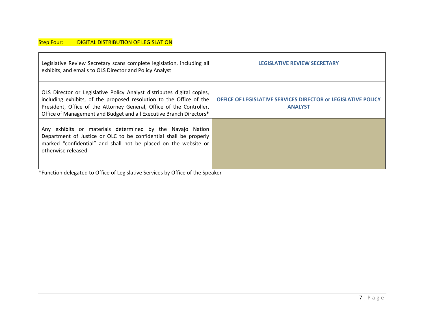| Legislative Review Secretary scans complete legislation, including all<br>exhibits, and emails to OLS Director and Policy Analyst                                                                                                                                                            | <b>LEGISLATIVE REVIEW SECRETARY</b>                                             |
|----------------------------------------------------------------------------------------------------------------------------------------------------------------------------------------------------------------------------------------------------------------------------------------------|---------------------------------------------------------------------------------|
| OLS Director or Legislative Policy Analyst distributes digital copies,<br>including exhibits, of the proposed resolution to the Office of the<br>President, Office of the Attorney General, Office of the Controller,<br>Office of Management and Budget and all Executive Branch Directors* | OFFICE OF LEGISLATIVE SERVICES DIRECTOR or LEGISLATIVE POLICY<br><b>ANALYST</b> |
| Any exhibits or materials determined by the Navajo Nation<br>Department of Justice or OLC to be confidential shall be properly<br>marked "confidential" and shall not be placed on the website or<br>otherwise released                                                                      |                                                                                 |

\*Function delegated to Office of Legislative Services by Office of the Speaker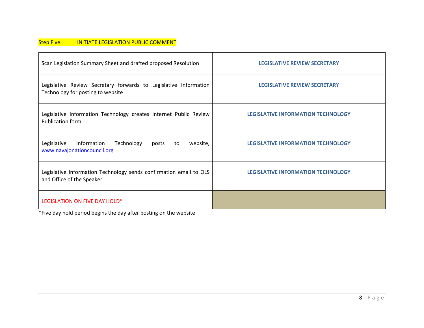#### Step Five: **INITIATE LEGISLATION PUBLIC COMMENT**

| Scan Legislation Summary Sheet and drafted proposed Resolution                                        | <b>LEGISLATIVE REVIEW SECRETARY</b>       |
|-------------------------------------------------------------------------------------------------------|-------------------------------------------|
| Legislative Review Secretary forwards to Legislative Information<br>Technology for posting to website | <b>LEGISLATIVE REVIEW SECRETARY</b>       |
| Legislative Information Technology creates Internet Public Review<br><b>Publication form</b>          | <b>LEGISLATIVE INFORMATION TECHNOLOGY</b> |
| Technology<br>website,<br>Legislative<br>Information<br>posts<br>to<br>www.navajonationcouncil.org    | <b>LEGISLATIVE INFORMATION TECHNOLOGY</b> |
| Legislative Information Technology sends confirmation email to OLS<br>and Office of the Speaker       | <b>LEGISLATIVE INFORMATION TECHNOLOGY</b> |
| LEGISLATION ON FIVE DAY HOLD*                                                                         |                                           |

\*Five day hold period begins the day after posting on the website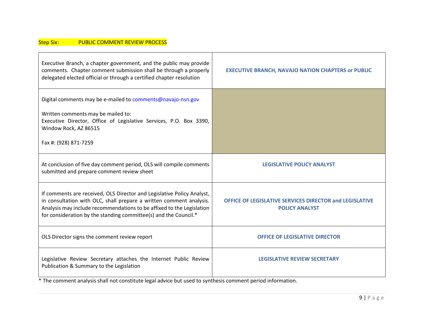#### Step Six: PUBLIC COMMENT REVIEW PROCESS

| Executive Branch, a chapter government, and the public may provide<br>comments. Chapter comment submission shall be through a properly<br>delegated elected official or through a certified chapter resolution                                                                             | <b>EXECUTIVE BRANCH, NAVAJO NATION CHAPTERS or PUBLIC</b>                        |
|--------------------------------------------------------------------------------------------------------------------------------------------------------------------------------------------------------------------------------------------------------------------------------------------|----------------------------------------------------------------------------------|
| Digital comments may be e-mailed to comments@navajo-nsn.gov<br>Written comments may be mailed to:<br>Executive Director, Office of Legislative Services, P.O. Box 3390,<br>Window Rock, AZ 86515<br>Fax #: (928) 871-7259                                                                  |                                                                                  |
| At conclusion of five day comment period, OLS will compile comments<br>submitted and prepare comment review sheet                                                                                                                                                                          | <b>LEGISLATIVE POLICY ANALYST</b>                                                |
| If comments are received, OLS Director and Legislative Policy Analyst,<br>in consultation with OLC, shall prepare a written comment analysis.<br>Analysis may include recommendations to be affixed to the Legislation<br>for consideration by the standing committee(s) and the Council.* | OFFICE OF LEGISLATIVE SERVICES DIRECTOR and LEGISLATIVE<br><b>POLICY ANALYST</b> |
| OLS Director signs the comment review report                                                                                                                                                                                                                                               | <b>OFFICE OF LEGISLATIVE DIRECTOR</b>                                            |
| Legislative Review Secretary attaches the Internet Public Review<br>Publication & Summary to the Legislation                                                                                                                                                                               | <b>LEGISLATIVE REVIEW SECRETARY</b>                                              |
| * The comment analysis shall not constitute legal advice but used to synthesis comment period information.                                                                                                                                                                                 |                                                                                  |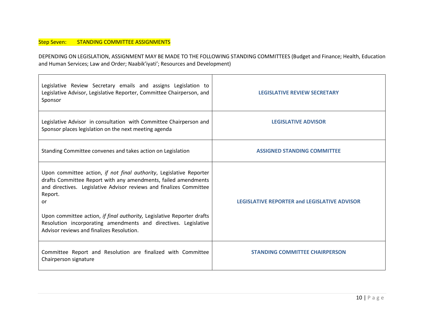#### Step Seven: STANDING COMMITTEE ASSIGNMENTS

DEPENDING ON LEGISLATION, ASSIGNMENT MAY BE MADE TO THE FOLLOWING STANDING COMMITTEES (Budget and Finance; Health, Education and Human Services; Law and Order; Naabik'iyati'; Resources and Development)

| Legislative Review Secretary emails and assigns Legislation to<br>Legislative Advisor, Legislative Reporter, Committee Chairperson, and<br>Sponsor                                                                                                                                                                                                                                                                      | <b>LEGISLATIVE REVIEW SECRETARY</b>                 |
|-------------------------------------------------------------------------------------------------------------------------------------------------------------------------------------------------------------------------------------------------------------------------------------------------------------------------------------------------------------------------------------------------------------------------|-----------------------------------------------------|
| Legislative Advisor in consultation with Committee Chairperson and<br>Sponsor places legislation on the next meeting agenda                                                                                                                                                                                                                                                                                             | <b>LEGISLATIVE ADVISOR</b>                          |
| Standing Committee convenes and takes action on Legislation                                                                                                                                                                                                                                                                                                                                                             | <b>ASSIGNED STANDING COMMITTEE</b>                  |
| Upon committee action, if not final authority, Legislative Reporter<br>drafts Committee Report with any amendments, failed amendments<br>and directives. Legislative Advisor reviews and finalizes Committee<br>Report.<br>or<br>Upon committee action, if final authority, Legislative Reporter drafts<br>Resolution incorporating amendments and directives. Legislative<br>Advisor reviews and finalizes Resolution. | <b>LEGISLATIVE REPORTER and LEGISLATIVE ADVISOR</b> |
| Committee Report and Resolution are finalized with Committee<br>Chairperson signature                                                                                                                                                                                                                                                                                                                                   | <b>STANDING COMMITTEE CHAIRPERSON</b>               |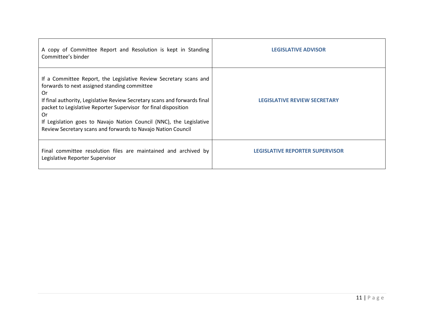| A copy of Committee Report and Resolution is kept in Standing<br>Committee's binder                                                                                                                                                                                                                                                                                                                                  | <b>LEGISLATIVE ADVISOR</b>             |
|----------------------------------------------------------------------------------------------------------------------------------------------------------------------------------------------------------------------------------------------------------------------------------------------------------------------------------------------------------------------------------------------------------------------|----------------------------------------|
| If a Committee Report, the Legislative Review Secretary scans and<br>forwards to next assigned standing committee<br>0r<br>If final authority, Legislative Review Secretary scans and forwards final<br>packet to Legislative Reporter Supervisor for final disposition<br>0r<br>If Legislation goes to Navajo Nation Council (NNC), the Legislative<br>Review Secretary scans and forwards to Navajo Nation Council | <b>LEGISLATIVE REVIEW SECRETARY</b>    |
| Final committee resolution files are maintained and archived by<br>Legislative Reporter Supervisor                                                                                                                                                                                                                                                                                                                   | <b>LEGISLATIVE REPORTER SUPERVISOR</b> |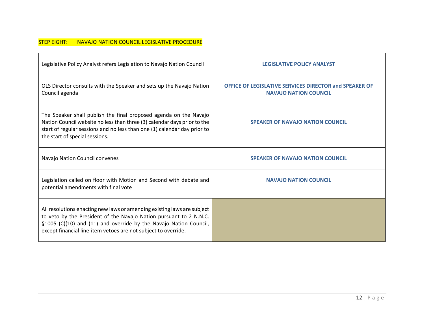#### STEP EIGHT: NAVAJO NATION COUNCIL LEGISLATIVE PROCEDURE

| Legislative Policy Analyst refers Legislation to Navajo Nation Council                                                                                                                                                                                                               | <b>LEGISLATIVE POLICY ANALYST</b>                                                      |
|--------------------------------------------------------------------------------------------------------------------------------------------------------------------------------------------------------------------------------------------------------------------------------------|----------------------------------------------------------------------------------------|
| OLS Director consults with the Speaker and sets up the Navajo Nation<br>Council agenda                                                                                                                                                                                               | OFFICE OF LEGISLATIVE SERVICES DIRECTOR and SPEAKER OF<br><b>NAVAJO NATION COUNCIL</b> |
| The Speaker shall publish the final proposed agenda on the Navajo<br>Nation Council website no less than three (3) calendar days prior to the<br>start of regular sessions and no less than one (1) calendar day prior to<br>the start of special sessions.                          | <b>SPEAKER OF NAVAJO NATION COUNCIL</b>                                                |
| Navajo Nation Council convenes                                                                                                                                                                                                                                                       | <b>SPEAKER OF NAVAJO NATION COUNCIL</b>                                                |
| Legislation called on floor with Motion and Second with debate and<br>potential amendments with final vote                                                                                                                                                                           | <b>NAVAJO NATION COUNCIL</b>                                                           |
| All resolutions enacting new laws or amending existing laws are subject<br>to veto by the President of the Navajo Nation pursuant to 2 N.N.C.<br>§1005 (C)(10) and (11) and override by the Navajo Nation Council,<br>except financial line-item vetoes are not subject to override. |                                                                                        |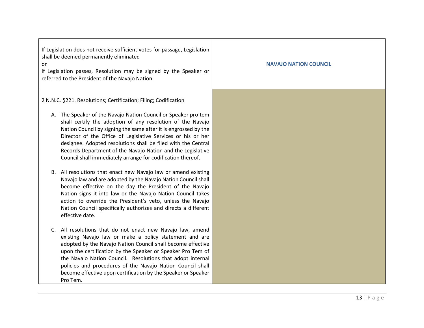| If Legislation does not receive sufficient votes for passage, Legislation<br>shall be deemed permanently eliminated<br>0r<br>If Legislation passes, Resolution may be signed by the Speaker or<br>referred to the President of the Navajo Nation                                                                                                                                                                                                                                                                                                                                                                                                                                                                                                                                                                                                                                                                                                  | <b>NAVAJO NATION COUNCIL</b> |
|---------------------------------------------------------------------------------------------------------------------------------------------------------------------------------------------------------------------------------------------------------------------------------------------------------------------------------------------------------------------------------------------------------------------------------------------------------------------------------------------------------------------------------------------------------------------------------------------------------------------------------------------------------------------------------------------------------------------------------------------------------------------------------------------------------------------------------------------------------------------------------------------------------------------------------------------------|------------------------------|
| 2 N.N.C. §221. Resolutions; Certification; Filing; Codification<br>A. The Speaker of the Navajo Nation Council or Speaker pro tem<br>shall certify the adoption of any resolution of the Navajo<br>Nation Council by signing the same after it is engrossed by the<br>Director of the Office of Legislative Services or his or her<br>designee. Adopted resolutions shall be filed with the Central<br>Records Department of the Navajo Nation and the Legislative<br>Council shall immediately arrange for codification thereof.<br>B. All resolutions that enact new Navajo law or amend existing<br>Navajo law and are adopted by the Navajo Nation Council shall<br>become effective on the day the President of the Navajo<br>Nation signs it into law or the Navajo Nation Council takes<br>action to override the President's veto, unless the Navajo<br>Nation Council specifically authorizes and directs a different<br>effective date. |                              |
| C. All resolutions that do not enact new Navajo law, amend<br>existing Navajo law or make a policy statement and are<br>adopted by the Navajo Nation Council shall become effective<br>upon the certification by the Speaker or Speaker Pro Tem of<br>the Navajo Nation Council. Resolutions that adopt internal<br>policies and procedures of the Navajo Nation Council shall<br>become effective upon certification by the Speaker or Speaker<br>Pro Tem.                                                                                                                                                                                                                                                                                                                                                                                                                                                                                       |                              |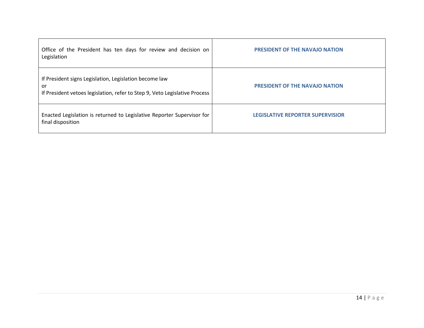| Office of the President has ten days for review and decision on<br>Legislation                                                             | <b>PRESIDENT OF THE NAVAJO NATION</b>   |
|--------------------------------------------------------------------------------------------------------------------------------------------|-----------------------------------------|
| If President signs Legislation, Legislation become law<br>or<br>If President vetoes legislation, refer to Step 9, Veto Legislative Process | <b>PRESIDENT OF THE NAVAJO NATION</b>   |
| Enacted Legislation is returned to Legislative Reporter Supervisor for<br>final disposition                                                | <b>LEGISLATIVE REPORTER SUPERVISIOR</b> |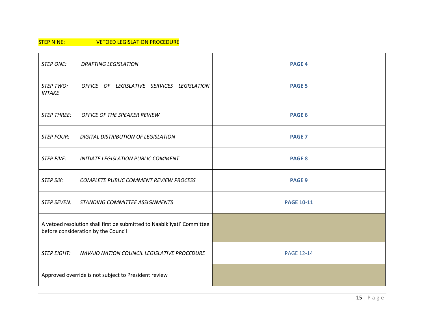#### STEP NINE: **VETOED LEGISLATION PROCEDURE**

| <b>STEP ONE:</b>                                                                                               | <b>DRAFTING LEGISLATION</b>                 | <b>PAGE 4</b>     |
|----------------------------------------------------------------------------------------------------------------|---------------------------------------------|-------------------|
| STEP TWO:<br><b>INTAKE</b>                                                                                     | OFFICE OF LEGISLATIVE SERVICES LEGISLATION  | <b>PAGE 5</b>     |
| <b>STEP THREE:</b>                                                                                             | <b>OFFICE OF THE SPEAKER REVIEW</b>         | <b>PAGE 6</b>     |
| <b>STEP FOUR:</b>                                                                                              | <b>DIGITAL DISTRIBUTION OF LEGISLATION</b>  | <b>PAGE 7</b>     |
| <b>STEP FIVE:</b>                                                                                              | <b>INITIATE LEGISLATION PUBLIC COMMENT</b>  | <b>PAGE 8</b>     |
| <b>STEP SIX:</b>                                                                                               | COMPLETE PUBLIC COMMENT REVIEW PROCESS      | <b>PAGE 9</b>     |
| STEP SEVEN:                                                                                                    | STANDING COMMITTEE ASSIGNMENTS              | <b>PAGE 10-11</b> |
| A vetoed resolution shall first be submitted to Naabik'iyati' Committee<br>before consideration by the Council |                                             |                   |
| <b>STEP EIGHT:</b>                                                                                             | NAVAJO NATION COUNCIL LEGISLATIVE PROCEDURE | <b>PAGE 12-14</b> |
| Approved override is not subject to President review                                                           |                                             |                   |